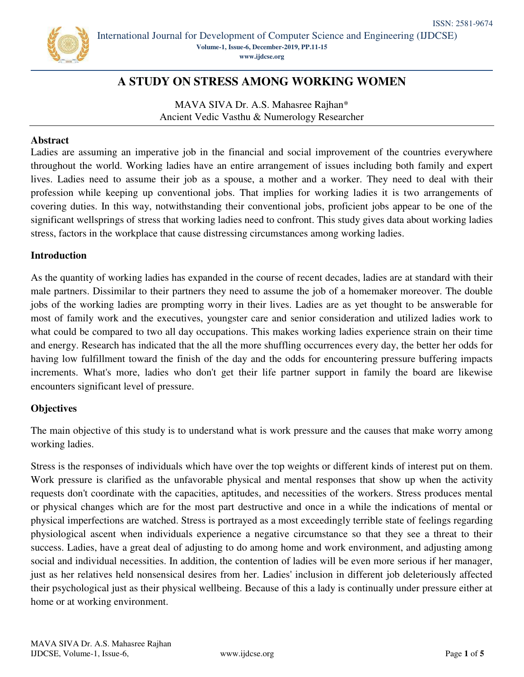

International Journal for Development of Computer Science and Engineering (IJDCSE) **Volume-1, Issue-6, December-2019, PP.11-15 [www.ijdcse.org](http://www.ijdcse.org/)**

# **A STUDY ON STRESS AMONG WORKING WOMEN**

MAVA SIVA Dr. A.S. Mahasree Rajhan\* Ancient Vedic Vasthu & Numerology Researcher

### **Abstract**

Ladies are assuming an imperative job in the financial and social improvement of the countries everywhere throughout the world. Working ladies have an entire arrangement of issues including both family and expert lives. Ladies need to assume their job as a spouse, a mother and a worker. They need to deal with their profession while keeping up conventional jobs. That implies for working ladies it is two arrangements of covering duties. In this way, notwithstanding their conventional jobs, proficient jobs appear to be one of the significant wellsprings of stress that working ladies need to confront. This study gives data about working ladies stress, factors in the workplace that cause distressing circumstances among working ladies.

#### **Introduction**

As the quantity of working ladies has expanded in the course of recent decades, ladies are at standard with their male partners. Dissimilar to their partners they need to assume the job of a homemaker moreover. The double jobs of the working ladies are prompting worry in their lives. Ladies are as yet thought to be answerable for most of family work and the executives, youngster care and senior consideration and utilized ladies work to what could be compared to two all day occupations. This makes working ladies experience strain on their time and energy. Research has indicated that the all the more shuffling occurrences every day, the better her odds for having low fulfillment toward the finish of the day and the odds for encountering pressure buffering impacts increments. What's more, ladies who don't get their life partner support in family the board are likewise encounters significant level of pressure.

## **Objectives**

The main objective of this study is to understand what is work pressure and the causes that make worry among working ladies.

Stress is the responses of individuals which have over the top weights or different kinds of interest put on them. Work pressure is clarified as the unfavorable physical and mental responses that show up when the activity requests don't coordinate with the capacities, aptitudes, and necessities of the workers. Stress produces mental or physical changes which are for the most part destructive and once in a while the indications of mental or physical imperfections are watched. Stress is portrayed as a most exceedingly terrible state of feelings regarding physiological ascent when individuals experience a negative circumstance so that they see a threat to their success. Ladies, have a great deal of adjusting to do among home and work environment, and adjusting among social and individual necessities. In addition, the contention of ladies will be even more serious if her manager, just as her relatives held nonsensical desires from her. Ladies' inclusion in different job deleteriously affected their psychological just as their physical wellbeing. Because of this a lady is continually under pressure either at home or at working environment.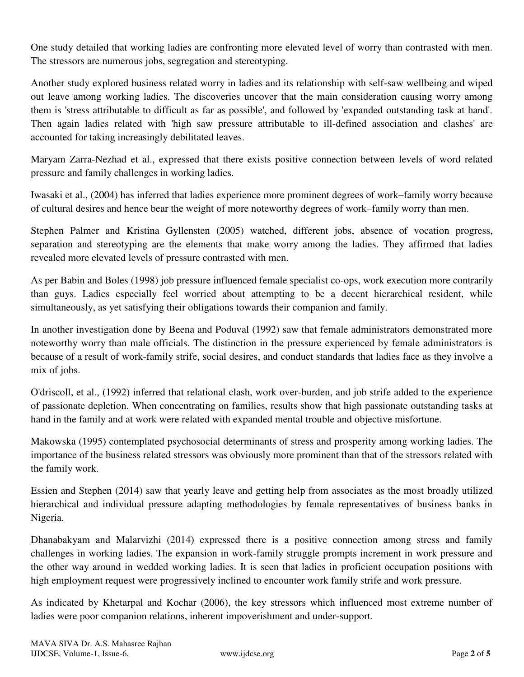One study detailed that working ladies are confronting more elevated level of worry than contrasted with men. The stressors are numerous jobs, segregation and stereotyping.

Another study explored business related worry in ladies and its relationship with self-saw wellbeing and wiped out leave among working ladies. The discoveries uncover that the main consideration causing worry among them is 'stress attributable to difficult as far as possible', and followed by 'expanded outstanding task at hand'. Then again ladies related with 'high saw pressure attributable to ill-defined association and clashes' are accounted for taking increasingly debilitated leaves.

Maryam Zarra-Nezhad et al., expressed that there exists positive connection between levels of word related pressure and family challenges in working ladies.

Iwasaki et al., (2004) has inferred that ladies experience more prominent degrees of work–family worry because of cultural desires and hence bear the weight of more noteworthy degrees of work–family worry than men.

Stephen Palmer and Kristina Gyllensten (2005) watched, different jobs, absence of vocation progress, separation and stereotyping are the elements that make worry among the ladies. They affirmed that ladies revealed more elevated levels of pressure contrasted with men.

As per Babin and Boles (1998) job pressure influenced female specialist co-ops, work execution more contrarily than guys. Ladies especially feel worried about attempting to be a decent hierarchical resident, while simultaneously, as yet satisfying their obligations towards their companion and family.

In another investigation done by Beena and Poduval (1992) saw that female administrators demonstrated more noteworthy worry than male officials. The distinction in the pressure experienced by female administrators is because of a result of work-family strife, social desires, and conduct standards that ladies face as they involve a mix of jobs.

O'driscoll, et al., (1992) inferred that relational clash, work over-burden, and job strife added to the experience of passionate depletion. When concentrating on families, results show that high passionate outstanding tasks at hand in the family and at work were related with expanded mental trouble and objective misfortune.

Makowska (1995) contemplated psychosocial determinants of stress and prosperity among working ladies. The importance of the business related stressors was obviously more prominent than that of the stressors related with the family work.

Essien and Stephen (2014) saw that yearly leave and getting help from associates as the most broadly utilized hierarchical and individual pressure adapting methodologies by female representatives of business banks in Nigeria.

Dhanabakyam and Malarvizhi (2014) expressed there is a positive connection among stress and family challenges in working ladies. The expansion in work-family struggle prompts increment in work pressure and the other way around in wedded working ladies. It is seen that ladies in proficient occupation positions with high employment request were progressively inclined to encounter work family strife and work pressure.

As indicated by Khetarpal and Kochar (2006), the key stressors which influenced most extreme number of ladies were poor companion relations, inherent impoverishment and under-support.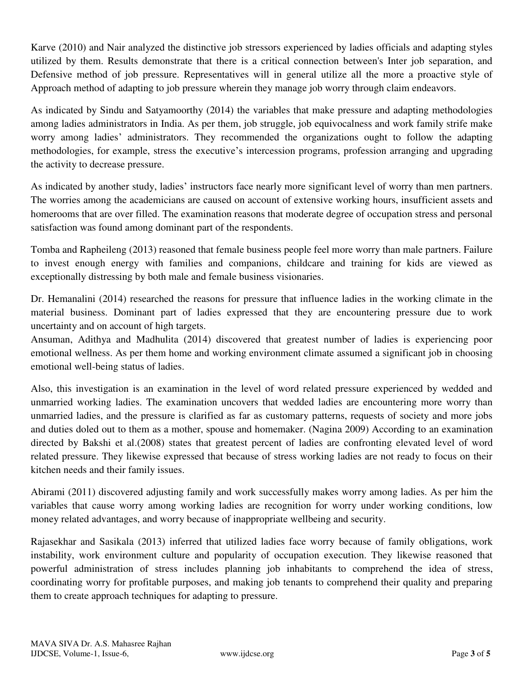Karve (2010) and Nair analyzed the distinctive job stressors experienced by ladies officials and adapting styles utilized by them. Results demonstrate that there is a critical connection between's Inter job separation, and Defensive method of job pressure. Representatives will in general utilize all the more a proactive style of Approach method of adapting to job pressure wherein they manage job worry through claim endeavors.

As indicated by Sindu and Satyamoorthy (2014) the variables that make pressure and adapting methodologies among ladies administrators in India. As per them, job struggle, job equivocalness and work family strife make worry among ladies' administrators. They recommended the organizations ought to follow the adapting methodologies, for example, stress the executive's intercession programs, profession arranging and upgrading the activity to decrease pressure.

As indicated by another study, ladies' instructors face nearly more significant level of worry than men partners. The worries among the academicians are caused on account of extensive working hours, insufficient assets and homerooms that are over filled. The examination reasons that moderate degree of occupation stress and personal satisfaction was found among dominant part of the respondents.

Tomba and Rapheileng (2013) reasoned that female business people feel more worry than male partners. Failure to invest enough energy with families and companions, childcare and training for kids are viewed as exceptionally distressing by both male and female business visionaries.

Dr. Hemanalini (2014) researched the reasons for pressure that influence ladies in the working climate in the material business. Dominant part of ladies expressed that they are encountering pressure due to work uncertainty and on account of high targets.

Ansuman, Adithya and Madhulita (2014) discovered that greatest number of ladies is experiencing poor emotional wellness. As per them home and working environment climate assumed a significant job in choosing emotional well-being status of ladies.

Also, this investigation is an examination in the level of word related pressure experienced by wedded and unmarried working ladies. The examination uncovers that wedded ladies are encountering more worry than unmarried ladies, and the pressure is clarified as far as customary patterns, requests of society and more jobs and duties doled out to them as a mother, spouse and homemaker. (Nagina 2009) According to an examination directed by Bakshi et al.(2008) states that greatest percent of ladies are confronting elevated level of word related pressure. They likewise expressed that because of stress working ladies are not ready to focus on their kitchen needs and their family issues.

Abirami (2011) discovered adjusting family and work successfully makes worry among ladies. As per him the variables that cause worry among working ladies are recognition for worry under working conditions, low money related advantages, and worry because of inappropriate wellbeing and security.

Rajasekhar and Sasikala (2013) inferred that utilized ladies face worry because of family obligations, work instability, work environment culture and popularity of occupation execution. They likewise reasoned that powerful administration of stress includes planning job inhabitants to comprehend the idea of stress, coordinating worry for profitable purposes, and making job tenants to comprehend their quality and preparing them to create approach techniques for adapting to pressure.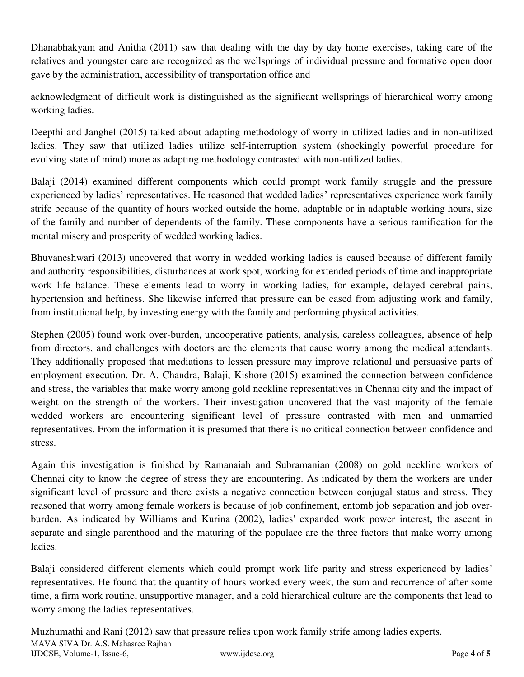Dhanabhakyam and Anitha (2011) saw that dealing with the day by day home exercises, taking care of the relatives and youngster care are recognized as the wellsprings of individual pressure and formative open door gave by the administration, accessibility of transportation office and

acknowledgment of difficult work is distinguished as the significant wellsprings of hierarchical worry among working ladies.

Deepthi and Janghel (2015) talked about adapting methodology of worry in utilized ladies and in non-utilized ladies. They saw that utilized ladies utilize self-interruption system (shockingly powerful procedure for evolving state of mind) more as adapting methodology contrasted with non-utilized ladies.

Balaji (2014) examined different components which could prompt work family struggle and the pressure experienced by ladies' representatives. He reasoned that wedded ladies' representatives experience work family strife because of the quantity of hours worked outside the home, adaptable or in adaptable working hours, size of the family and number of dependents of the family. These components have a serious ramification for the mental misery and prosperity of wedded working ladies.

Bhuvaneshwari (2013) uncovered that worry in wedded working ladies is caused because of different family and authority responsibilities, disturbances at work spot, working for extended periods of time and inappropriate work life balance. These elements lead to worry in working ladies, for example, delayed cerebral pains, hypertension and heftiness. She likewise inferred that pressure can be eased from adjusting work and family, from institutional help, by investing energy with the family and performing physical activities.

Stephen (2005) found work over-burden, uncooperative patients, analysis, careless colleagues, absence of help from directors, and challenges with doctors are the elements that cause worry among the medical attendants. They additionally proposed that mediations to lessen pressure may improve relational and persuasive parts of employment execution. Dr. A. Chandra, Balaji, Kishore (2015) examined the connection between confidence and stress, the variables that make worry among gold neckline representatives in Chennai city and the impact of weight on the strength of the workers. Their investigation uncovered that the vast majority of the female wedded workers are encountering significant level of pressure contrasted with men and unmarried representatives. From the information it is presumed that there is no critical connection between confidence and stress.

Again this investigation is finished by Ramanaiah and Subramanian (2008) on gold neckline workers of Chennai city to know the degree of stress they are encountering. As indicated by them the workers are under significant level of pressure and there exists a negative connection between conjugal status and stress. They reasoned that worry among female workers is because of job confinement, entomb job separation and job overburden. As indicated by Williams and Kurina (2002), ladies' expanded work power interest, the ascent in separate and single parenthood and the maturing of the populace are the three factors that make worry among ladies.

Balaji considered different elements which could prompt work life parity and stress experienced by ladies' representatives. He found that the quantity of hours worked every week, the sum and recurrence of after some time, a firm work routine, unsupportive manager, and a cold hierarchical culture are the components that lead to worry among the ladies representatives.

MAVA SIVA Dr. A.S. Mahasree Rajhan IJDCSE, Volume-1, Issue-6, www.ijdcse.org Page **4** of **5** Muzhumathi and Rani (2012) saw that pressure relies upon work family strife among ladies experts.